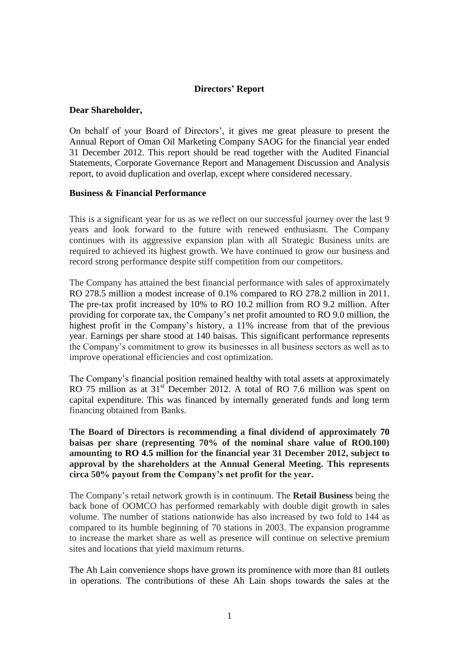# **Directors' Report**

#### **Dear Shareholder,**

On behalf of your Board of Directors', it gives me great pleasure to present the Annual Report of Oman Oil Marketing Company SAOG for the financial year ended 31 December 2012. This report should be read together with the Audited Financial Statements, Corporate Governance Report and Management Discussion and Analysis report, to avoid duplication and overlap, except where considered necessary.

#### **Business & Financial Performance**

This is a significant year for us as we reflect on our successful journey over the last 9 years and look forward to the future with renewed enthusiasm. The Company continues with its aggressive expansion plan with all Strategic Business units are required to achieved its highest growth. We have continued to grow our business and record strong performance despite stiff competition from our competitors.

The Company has attained the best financial performance with sales of approximately RO 278.5 million a modest increase of 0.1% compared to RO 278.2 million in 2011. The pre-tax profit increased by 10% to RO 10.2 million from RO 9.2 million. After providing for corporate tax, the Company's net profit amounted to RO 9.0 million, the highest profit in the Company's history, a 11% increase from that of the previous year. Earnings per share stood at 140 baisas. This significant performance represents the Company's commitment to grow its businesses in all business sectors as well as to improve operational efficiencies and cost optimization.

The Company's financial position remained healthy with total assets at approximately RO 75 million as at 31<sup>st</sup> December 2012. A total of RO 7.6 million was spent on capital expenditure. This was financed by internally generated funds and long term financing obtained from Banks.

**The Board of Directors is recommending a final dividend of approximately 70 baisas per share (representing 70% of the nominal share value of RO0.100) amounting to RO 4.5 million for the financial year 31 December 2012, subject to approval by the shareholders at the Annual General Meeting. This represents circa 50% payout from the Company's net profit for the year.**

The Company's retail network growth is in continuum. The **Retail Business** being the back bone of OOMCO has performed remarkably with double digit growth in sales volume. The number of stations nationwide has also increased by two fold to 144 as compared to its humble beginning of 70 stations in 2003. The expansion programme to increase the market share as well as presence will continue on selective premium sites and locations that yield maximum returns.

The Ah Lain convenience shops have grown its prominence with more than 81 outlets in operations. The contributions of these Ah Lain shops towards the sales at the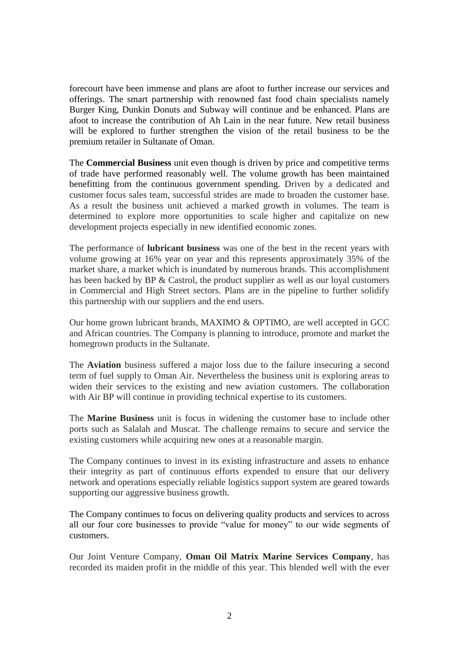forecourt have been immense and plans are afoot to further increase our services and offerings. The smart partnership with renowned fast food chain specialists namely Burger King, Dunkin Donuts and Subway will continue and be enhanced. Plans are afoot to increase the contribution of Ah Lain in the near future. New retail business will be explored to further strengthen the vision of the retail business to be the premium retailer in Sultanate of Oman.

The **Commercial Business** unit even though is driven by price and competitive terms of trade have performed reasonably well. The volume growth has been maintained benefitting from the continuous government spending. Driven by a dedicated and customer focus sales team, successful strides are made to broaden the customer base. As a result the business unit achieved a marked growth in volumes. The team is determined to explore more opportunities to scale higher and capitalize on new development projects especially in new identified economic zones.

The performance of **lubricant business** was one of the best in the recent years with volume growing at 16% year on year and this represents approximately 35% of the market share, a market which is inundated by numerous brands. This accomplishment has been backed by BP & Castrol, the product supplier as well as our loyal customers in Commercial and High Street sectors. Plans are in the pipeline to further solidify this partnership with our suppliers and the end users.

Our home grown lubricant brands, MAXIMO & OPTIMO, are well accepted in GCC and African countries. The Company is planning to introduce, promote and market the homegrown products in the Sultanate.

The **Aviation** business suffered a major loss due to the failure insecuring a second term of fuel supply to Oman Air. Nevertheless the business unit is exploring areas to widen their services to the existing and new aviation customers. The collaboration with Air BP will continue in providing technical expertise to its customers.

The **Marine Business** unit is focus in widening the customer base to include other ports such as Salalah and Muscat. The challenge remains to secure and service the existing customers while acquiring new ones at a reasonable margin.

The Company continues to invest in its existing infrastructure and assets to enhance their integrity as part of continuous efforts expended to ensure that our delivery network and operations especially reliable logistics support system are geared towards supporting our aggressive business growth.

The Company continues to focus on delivering quality products and services to across all our four core businesses to provide "value for money" to our wide segments of customers.

Our Joint Venture Company, **Oman Oil Matrix Marine Services Company**, has recorded its maiden profit in the middle of this year. This blended well with the ever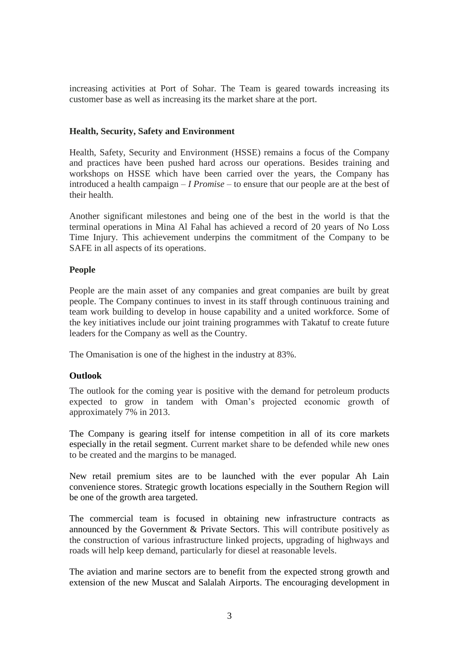increasing activities at Port of Sohar. The Team is geared towards increasing its customer base as well as increasing its the market share at the port.

## **Health, Security, Safety and Environment**

Health, Safety, Security and Environment (HSSE) remains a focus of the Company and practices have been pushed hard across our operations. Besides training and workshops on HSSE which have been carried over the years, the Company has introduced a health campaign – *I Promise* – to ensure that our people are at the best of their health.

Another significant milestones and being one of the best in the world is that the terminal operations in Mina Al Fahal has achieved a record of 20 years of No Loss Time Injury. This achievement underpins the commitment of the Company to be SAFE in all aspects of its operations.

#### **People**

People are the main asset of any companies and great companies are built by great people. The Company continues to invest in its staff through continuous training and team work building to develop in house capability and a united workforce. Some of the key initiatives include our joint training programmes with Takatuf to create future leaders for the Company as well as the Country.

The Omanisation is one of the highest in the industry at 83%.

## **Outlook**

The outlook for the coming year is positive with the demand for petroleum products expected to grow in tandem with Oman's projected economic growth of approximately 7% in 2013.

The Company is gearing itself for intense competition in all of its core markets especially in the retail segment. Current market share to be defended while new ones to be created and the margins to be managed.

New retail premium sites are to be launched with the ever popular Ah Lain convenience stores. Strategic growth locations especially in the Southern Region will be one of the growth area targeted.

The commercial team is focused in obtaining new infrastructure contracts as announced by the Government & Private Sectors. This will contribute positively as the construction of various infrastructure linked projects, upgrading of highways and roads will help keep demand, particularly for diesel at reasonable levels.

The aviation and marine sectors are to benefit from the expected strong growth and extension of the new Muscat and Salalah Airports. The encouraging development in